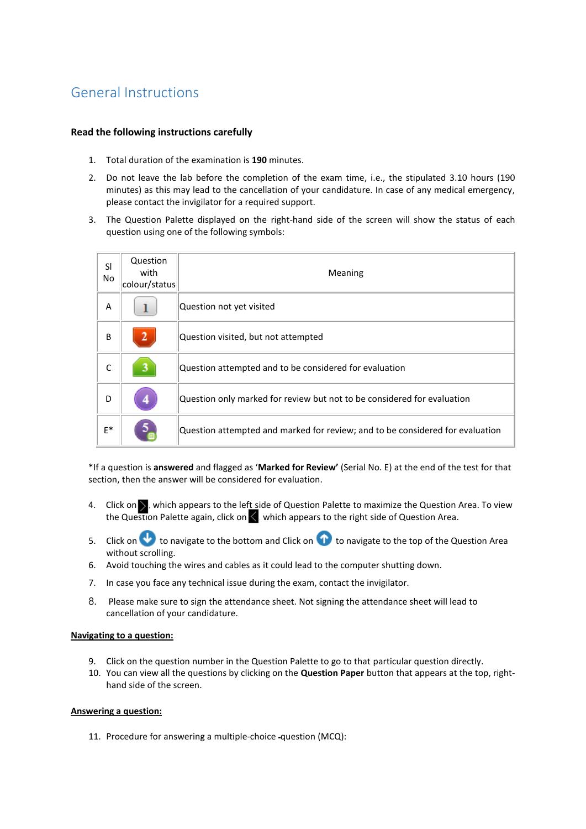# General Instructions

## **Read the following instructions carefully**

- 1. Total duration of the examination is **190** minutes.
- 2. Do not leave the lab before the completion of the exam time, i.e., the stipulated 3.10 hours (190 minutes) as this may lead to the cancellation of your candidature. In case of any medical emergency, please contact the invigilator for a required support.
- 3. The Question Palette displayed on the right-hand side of the screen will show the status of each question using one of the following symbols:

| SI<br>No | Question<br>with<br>colour/status | Meaning                                                                       |
|----------|-----------------------------------|-------------------------------------------------------------------------------|
| A        |                                   | Question not yet visited                                                      |
| B        | 2                                 | Question visited, but not attempted                                           |
| C        | з                                 | Question attempted and to be considered for evaluation                        |
| D        |                                   | Question only marked for review but not to be considered for evaluation       |
| $E^*$    | э                                 | Question attempted and marked for review; and to be considered for evaluation |

\*If a question is **answered** and flagged as '**Marked for Review'** (Serial No. E) at the end of the test for that section, then the answer will be considered for evaluation.

- 4. Click on but which appears to the left side of Question Palette to maximize the Question Area. To view the Question Palette again, click on  $\leq$  which appears to the right side of Question Area.
- 5. Click on to navigate to the bottom and Click on  $\bigcap$  to navigate to the top of the Question Area without scrolling.
- 6. Avoid touching the wires and cables as it could lead to the computer shutting down.
- 7. In case you face any technical issue during the exam, contact the invigilator.
- 8. Please make sure to sign the attendance sheet. Not signing the attendance sheet will lead to cancellation of your candidature.

## **Navigating to a question:**

- 9. Click on the question number in the Question Palette to go to that particular question directly.
- 10. You can view all the questions by clicking on the **Question Paper** button that appears at the top, righthand side of the screen.

## **Answering a question:**

11. Procedure for answering a multiple-choice question (MCQ):